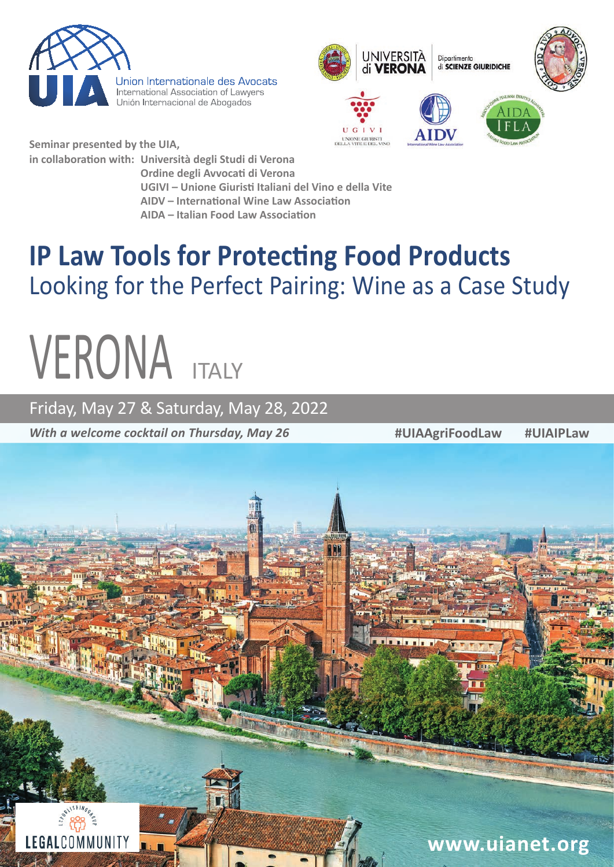

Union Internationale des Avocats International Association of Lawyers Unión Internacional de Abogados



**Seminar presented by the UIA, in collaboration with: Università degli Studi di Verona**

**Ordine degli Avvocati di Verona** 

 **UGIVI – Unione Giuristi Italiani del Vino e della Vite**

 **AIDV – International Wine Law Association**

 **AIDA – Italian Food Law Association** 

# **IP Law Tools for Protecting Food Products**  Looking for the Perfect Pairing: Wine as a Case Study

# **VERONA**

Friday, May 27 & Saturday, May 28, 2022

*With a welcome cocktail on Thursday, May 26*

**#UIAAgriFoodLaw #UIAIPLaw** 

LEGALCOMMUNITY **www.uianet.org**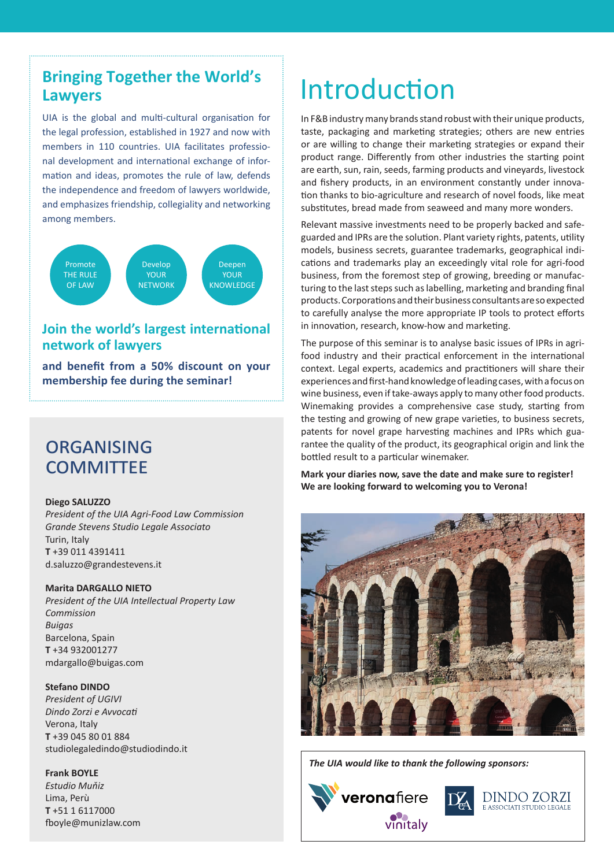# **Bringing Together the World's Lawyers**

UIA is the global and multi-cultural organisation for the legal profession, established in 1927 and now with members in 110 countries. UIA facilitates professional development and international exchange of information and ideas, promotes the rule of law, defends the independence and freedom of lawyers worldwide, and emphasizes friendship, collegiality and networking among members.



### **Join the world's largest international network of lawyers**

**and benefit from a 50% discount on your membership fee during the seminar!**

# **ORGANISING COMMITTEE**

#### **Diego SALUZZO**

*President of the UIA Agri-Food Law Commission Grande Stevens Studio Legale Associato* Turin, Italy **T** +39 011 4391411 d.saluzzo@grandestevens.it

#### **Marita DARGALLO NIETO**

*President of the UIA Intellectual Property Law Commission Buigas* Barcelona, Spain **T** +34 932001277 mdargallo@buigas.com

#### **Stefano DINDO**

*President of UGIVI Dindo Zorzi e Avvocati* Verona, Italy **T** +39 045 80 01 884 studiolegaledindo@studiodindo.it

#### **Frank BOYLE**

*Estudio Muňiz* Lima, Perù **T** +51 1 6117000 fboyle@munizlaw.com

# Introduction

In F&B industry many brands stand robust with their unique products, taste, packaging and marketing strategies; others are new entries or are willing to change their marketing strategies or expand their product range. Differently from other industries the starting point are earth, sun, rain, seeds, farming products and vineyards, livestock and fishery products, in an environment constantly under innovation thanks to bio-agriculture and research of novel foods, like meat substitutes, bread made from seaweed and many more wonders.

Relevant massive investments need to be properly backed and safeguarded and IPRs are the solution. Plant variety rights, patents, utility models, business secrets, guarantee trademarks, geographical indications and trademarks play an exceedingly vital role for agri-food business, from the foremost step of growing, breeding or manufacturing to the last steps such as labelling, marketing and branding final products. Corporations and their business consultants are so expected to carefully analyse the more appropriate IP tools to protect efforts in innovation, research, know-how and marketing.

The purpose of this seminar is to analyse basic issues of IPRs in agrifood industry and their practical enforcement in the international context. Legal experts, academics and practitioners will share their experiences and first-hand knowledge of leading cases, with a focus on wine business, even if take-aways apply to many other food products. Winemaking provides a comprehensive case study, starting from the testing and growing of new grape varieties, to business secrets, patents for novel grape harvesting machines and IPRs which guarantee the quality of the product, its geographical origin and link the bottled result to a particular winemaker.

**Mark your diaries now, save the date and make sure to register! We are looking forward to welcoming you to Verona!**



*The UIA would like to thank the following sponsors:*



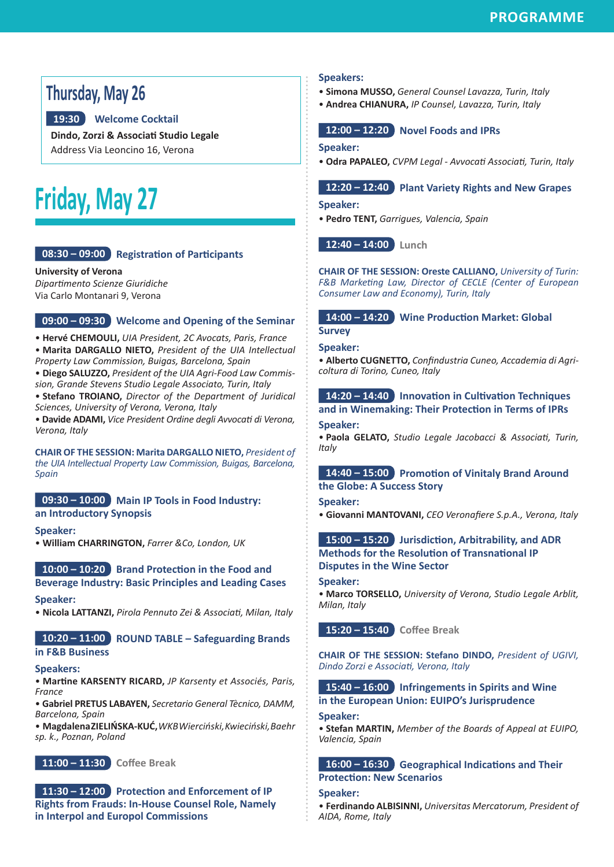# **Thursday, May 26**

#### **19:30 Welcome Cocktail**

**Dindo, Zorzi & Associati Studio Legale** Address Via Leoncino 16, Verona

# **Friday, May 27**

#### **08:30 – 09:00 Registration of Participants**

**University of Verona**  *Dipartimento Scienze Giuridiche* Via Carlo Montanari 9, Verona

#### **09:00 – 09:30 Welcome and Opening of the Seminar**

• **Hervé CHEMOULI,** *UIA President, 2C Avocats, Paris, France*  • **Marita DARGALLO NIETO,** *President of the UIA Intellectual Property Law Commission, Buigas, Barcelona, Spain*

• **Diego SALUZZO,** *President of the UIA Agri-Food Law Commission, Grande Stevens Studio Legale Associato, Turin, Italy*

• **Stefano TROIANO,** *Director of the Department of Juridical Sciences, University of Verona, Verona, Italy*

• **Davide ADAMI,** *Vice President Ordine degli Avvocati di Verona, Verona, Italy* 

**CHAIR OF THE SESSION: Marita DARGALLO NIETO,** *President of the UIA Intellectual Property Law Commission, Buigas, Barcelona, Spain*

#### **09:30 – 10:00 Main IP Tools in Food Industry: an Introductory Synopsis**

**Speaker:**

• **William CHARRINGTON,** *Farrer &Co, London, UK*

#### **10:00 – 10:20 Brand Protection in the Food and Beverage Industry: Basic Principles and Leading Cases**

#### **Speaker:**

• **Nicola LATTANZI,** *Pirola Pennuto Zei & Associati, Milan, Italy*

#### **10:20 – 11:00 ROUND TABLE – Safeguarding Brands in F&B Business**

#### **Speakers:**

• **Martine KARSENTY RICARD,** *JP Karsenty et Associés, Paris, France* 

• **Gabriel PRETUS LABAYEN,** *Secretario General Tècnico, DAMM, Barcelona, Spain*

• **Magdalena ZIELIŃSKA-KUĆ,** *WKB Wierciński, Kwieciński, Baehr sp. k., Poznan, Poland*



**11:30 – 12:00 Protection and Enforcement of IP Rights from Frauds: In-House Counsel Role, Namely in Interpol and Europol Commissions**

#### **Speakers:**

- **Simona MUSSO,** *General Counsel Lavazza, Turin, Italy*
- **Andrea CHIANURA,** *IP Counsel, Lavazza, Turin, Italy*

**12:00 – 12:20 Novel Foods and IPRs**

#### **Speaker:**

• **Odra PAPALEO,** *CVPM Legal - Avvocati Associati, Turin, Italy*

#### **12:20 – 12:40 Plant Variety Rights and New Grapes**

#### **Speaker:**

• **Pedro TENT,** *Garrigues, Valencia, Spain*

**12:40 – 14:00 Lunch**

**CHAIR OF THE SESSION: Oreste CALLIANO,** *University of Turin: F&B Marketing Law, Director of CECLE (Center of European Consumer Law and Economy), Turin, Italy*

**14:00 – 14:20 Wine Production Market: Global** 

# **Survey**

**Speaker:**

• **Alberto CUGNETTO,** *Confindustria Cuneo, Accademia di Agricoltura di Torino, Cuneo, Italy*

#### **14:20 – 14:40 Innovation in Cultivation Techniques and in Winemaking: Their Protection in Terms of IPRs**

#### **Speaker:**

• **Paola GELATO,** *Studio Legale Jacobacci & Associati, Turin, Italy*

#### **14:40 – 15:00 Promotion of Vinitaly Brand Around the Globe: A Success Story**

#### **Speaker:**

• **Giovanni MANTOVANI,** *CEO Veronafiere S.p.A., Verona, Italy*

#### **15:00 – 15:20 Jurisdiction, Arbitrability, and ADR Methods for the Resolution of Transnational IP Disputes in the Wine Sector**

#### **Speaker:**

• **Marco TORSELLO,** *University of Verona, Studio Legale Arblit, Milan, Italy*

**15:20 – 15:40 Coffee Break**

**CHAIR OF THE SESSION: Stefano DINDO,** *President of UGIVI, Dindo Zorzi e Associati, Verona, Italy*

#### **15:40 – 16:00 Infringements in Spirits and Wine in the European Union: EUIPO's Jurisprudence**

#### **Speaker:**

• **Stefan MARTIN,** *Member of the Boards of Appeal at EUIPO, Valencia, Spain*

#### **16:00 – 16:30 Geographical Indications and Their Protection: New Scenarios**

**Speaker:**

• **Ferdinando ALBISINNI,** *Universitas Mercatorum, President of AIDA, Rome, Italy*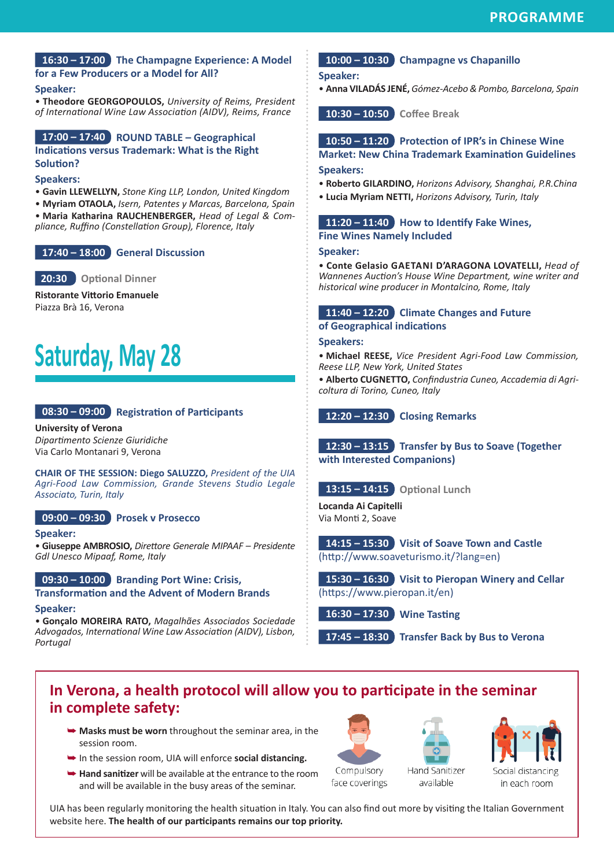#### **16:30 – 17:00 The Champagne Experience: A Model for a Few Producers or a Model for All?**

#### **Speaker:**

• **Theodore GEORGOPOULOS,** *University of Reims, President of International Wine Law Association (AIDV), Reims, France* 

#### **17:00 – 17:40 ROUND TABLE – Geographical Indications versus Trademark: What is the Right Solution?**

#### **Speakers:**

• **Gavin LLEWELLYN,** *Stone King LLP, London, United Kingdom*

• **Myriam OTAOLA,** *Isern, Patentes y Marcas, Barcelona, Spain* • **Maria Katharina RAUCHENBERGER,** *Head of Legal & Compliance, Ruffino (Constellation Group), Florence, Italy*

#### **17:40 – 18:00 General Discussion**

 **20:30 Optional Dinner**

**Ristorante Vittorio Emanuele** Piazza Brà 16, Verona

# **Saturday, May 28**

#### **08:30 – 09:00 Registration of Participants**

**University of Verona**  *Dipartimento Scienze Giuridiche* Via Carlo Montanari 9, Verona

**CHAIR OF THE SESSION: Diego SALUZZO,** *President of the UIA Agri-Food Law Commission, Grande Stevens Studio Legale Associato, Turin, Italy*

#### **09:00 – 09:30 Prosek v Prosecco**

#### **Speaker:**

• **Giuseppe AMBROSIO,** *Direttore Generale MIPAAF – Presidente Gdl Unesco Mipaaf, Rome, Italy*

#### **09:30 – 10:00 Branding Port Wine: Crisis,**

**Transformation and the Advent of Modern Brands Speaker:**

• **Gonçalo MOREIRA RATO,** *Magalhães Associados Sociedade Advogados, International Wine Law Association (AIDV), Lisbon, Portugal*

#### **10:00 – 10:30 Champagne vs Chapanillo**

**Speaker:**

• **Anna VILADÁS JENÉ,** *Gómez-Acebo & Pombo, Barcelona, Spain*

**10:30 – 10:50 Coffee Break**

**10:50 – 11:20 Protection of IPR's in Chinese Wine Market: New China Trademark Examination Guidelines**

#### **Speakers:**

- **Roberto GILARDINO,** *Horizons Advisory, Shanghai, P.R.China*
- **Lucia Myriam NETTI,** *Horizons Advisory, Turin, Italy*

**11:20 – 11:40 How to Identify Fake Wines, Fine Wines Namely Included** 

#### **Speaker:**

• **Conte Gelasio GAETANI D'ARAGONA LOVATELLI,** *Head of Wannenes Auction's House Wine Department, wine writer and historical wine producer in Montalcino, Rome, Italy*

**11:40 – 12:20 Climate Changes and Future of Geographical indications**

**Speakers:**

• **Michael REESE,** *Vice President Agri-Food Law Commission, Reese LLP, New York, United States*

• **Alberto CUGNETTO,** *Confindustria Cuneo, Accademia di Agricoltura di Torino, Cuneo, Italy* 

**12:20 – 12:30 Closing Remarks**

**12:30 – 13:15 Transfer by Bus to Soave (Together with Interested Companions)**

**13:15 – 14:15 Optional Lunch**

**Locanda Ai Capitelli** Via Monti 2, Soave

**14:15 – 15:30 Visit of Soave Town and Castle**  (http://www.soaveturismo.it/?lang=en)

**15:30 – 16:30 Visit to Pieropan Winery and Cellar**  (https://www.pieropan.it/en)

**16:30 – 17:30 Wine Tasting**

**17:45 – 18:30 Transfer Back by Bus to Verona**

# **In Verona, a health protocol will allow you to participate in the seminar in complete safety:**

- **► Masks must be worn** throughout the seminar area, in the session room.
- ➥ In the session room, UIA will enforce **social distancing.**
- **► Hand sanitizer** will be available at the entrance to the room and will be available in the busy areas of the seminar.





available



in each room

face coverings

UIA has been regularly monitoring the health situation in Italy. You can also find out more by visiting the Italian Government website here. **The health of our participants remains our top priority.**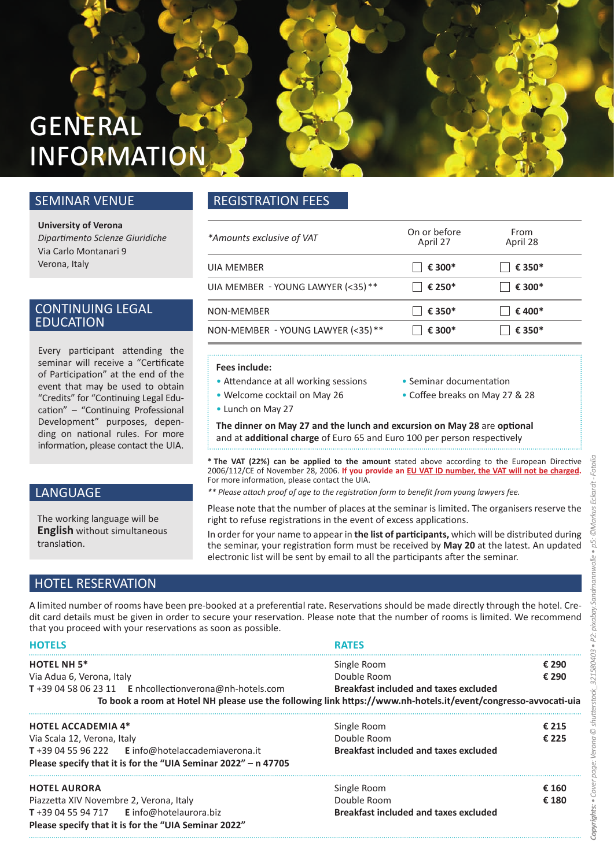# **GENERAL INFORMATION**

### SEMINAR VENUE

**University of Verona** *Dipartimento Scienze Giuridiche* Via Carlo Montanari 9 Verona, Italy

#### CONTINUING LEGAL EDUCATION

Every participant attending the seminar will receive a "Certificate of Participation" at the end of the event that may be used to obtain "Credits" for "Continuing Legal Education" – "Continuing Professional Development" purposes, depending on national rules. For more information, please contact the UIA.

### LANGUAGE

The working language will be **English** without simultaneous translation.

# HOTEL RESERVATION

A limited number of rooms have been pre-booked at a preferential rate. Reservations should be made directly through the hotel. Credit card details must be given in order to secure your reservation. Please note that the number of rooms is limited. We recommend that you proceed with your reservations as soon as possible.

| <b>HOTELS</b>                                                                                                  | <b>RATFS</b>                                 |       |
|----------------------------------------------------------------------------------------------------------------|----------------------------------------------|-------|
| <b>HOTEL NH 5*</b>                                                                                             | Single Room                                  | € 290 |
| Via Adua 6, Verona, Italy                                                                                      | Double Room                                  | € 290 |
| T+39 04 58 06 23 11 E nhcollectionverona@nh-hotels.com                                                         | <b>Breakfast included and taxes excluded</b> |       |
| To book a room at Hotel NH please use the following link https://www.nh-hotels.it/event/congresso-avvocati-uia |                                              |       |
| <b>HOTEL ACCADEMIA 4*</b>                                                                                      | Single Room                                  | € 215 |
| Via Scala 12, Verona, Italy                                                                                    | Double Room                                  | € 225 |
| T+39 04 55 96 222 E info@hotelaccademiaverona.it                                                               | <b>Breakfast included and taxes excluded</b> |       |
| Please specify that it is for the "UIA Seminar 2022" - n 47705                                                 |                                              |       |
| <b>HOTEL AURORA</b>                                                                                            | Single Room                                  | € 160 |
| Piazzetta XIV Novembre 2, Verona, Italy                                                                        | Double Room                                  | € 180 |
| $T + 39045594717$ E info@hotelaurora.biz                                                                       | <b>Breakfast included and taxes excluded</b> |       |
| Please specify that it is for the "UIA Seminar 2022"                                                           |                                              |       |

# REGISTRATION FEES

| *Amounts exclusive of VAT          | On or before<br>April 27 | From<br>April 28 |
|------------------------------------|--------------------------|------------------|
| UIA MEMBER                         | € 300*                   | € 350*           |
| UIA MEMBER - YOUNG LAWYER (<35) ** | € 250*                   | € 300*           |
| NON-MEMBER                         | € 350*                   | € 400*           |
| NON-MEMBER - YOUNG LAWYER (<35)**  | € 300*                   | € 350*           |

#### **Fees include:**

- Attendance at all working sessions Seminar documentation
	-
- Welcome cocktail on May 26 Coffee breaks on May 27 & 28
- Lunch on May 27
- 
- 

**The dinner on May 27 and the lunch and excursion on May 28** are **optional** and at **additional charge** of Euro 65 and Euro 100 per person respectively

**\* The VAT (22%) can be applied to the amount** stated above according to the European Directive 2006/112/CE of November 28, 2006. **If you provide an EU VAT ID number, the VAT will not be charged.** For more information, please contact the UIA.

*\*\* Please attach proof of age to the registration form to benefit from young lawyers fee.*

Please note that the number of places at the seminar is limited. The organisers reserve the right to refuse registrations in the event of excess applications.

In order for your name to appear in **the list of participants,** which will be distributed during the seminar, your registration form must be received by **May 20** at the latest. An updated electronic list will be sent by email to all the participants after the seminar.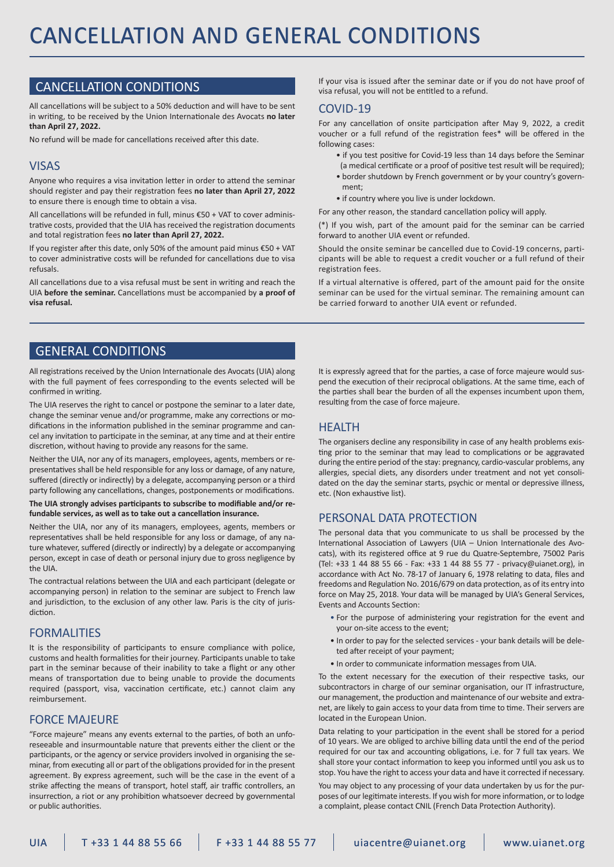### CANCELLATION CONDITIONS

All cancellations will be subject to a 50% deduction and will have to be sent in writing, to be received by the Union Internationale des Avocats **no later than April 27, 2022.**

No refund will be made for cancellations received after this date.

#### VISAS

Anyone who requires a visa invitation letter in order to attend the seminar should register and pay their registration fees **no later than April 27, 2022** to ensure there is enough time to obtain a visa.

All cancellations will be refunded in full, minus €50 + VAT to cover administrative costs, provided that the UIA has received the registration documents and total registration fees **no later than April 27, 2022.**

If you register after this date, only 50% of the amount paid minus €50 + VAT to cover administrative costs will be refunded for cancellations due to visa refusals.

All cancellations due to a visa refusal must be sent in writing and reach the UIA **before the seminar.** Cancellations must be accompanied by **a proof of visa refusal.** 

If your visa is issued after the seminar date or if you do not have proof of visa refusal, you will not be entitled to a refund.

#### COVID-19

For any cancellation of onsite participation after May 9, 2022, a credit voucher or a full refund of the registration fees\* will be offered in the following cases:

- if you test positive for Covid-19 less than 14 days before the Seminar
- (a medical certificate or a proof of positive test result will be required); • border shutdown by French government or by your country's govern-
- ment;
- if country where you live is under lockdown.

For any other reason, the standard cancellation policy will apply.

(\*) If you wish, part of the amount paid for the seminar can be carried forward to another UIA event or refunded.

Should the onsite seminar be cancelled due to Covid-19 concerns, participants will be able to request a credit voucher or a full refund of their registration fees.

If a virtual alternative is offered, part of the amount paid for the onsite seminar can be used for the virtual seminar. The remaining amount can be carried forward to another UIA event or refunded.

#### GENERAL CONDITIONS

All registrations received by the Union Internationale des Avocats (UIA) along with the full payment of fees corresponding to the events selected will be confirmed in writing.

The UIA reserves the right to cancel or postpone the seminar to a later date, change the seminar venue and/or programme, make any corrections or modifications in the information published in the seminar programme and cancel any invitation to participate in the seminar, at any time and at their entire discretion, without having to provide any reasons for the same.

Neither the UIA, nor any of its managers, employees, agents, members or representatives shall be held responsible for any loss or damage, of any nature, suffered (directly or indirectly) by a delegate, accompanying person or a third party following any cancellations, changes, postponements or modifications.

#### **The UIA strongly advises participants to subscribe to modifiable and/or refundable services, as well as to take out a cancellation insurance.**

Neither the UIA, nor any of its managers, employees, agents, members or representatives shall be held responsible for any loss or damage, of any nature whatever, suffered (directly or indirectly) by a delegate or accompanying person, except in case of death or personal injury due to gross negligence by the UIA.

The contractual relations between the UIA and each participant (delegate or accompanying person) in relation to the seminar are subject to French law and jurisdiction, to the exclusion of any other law. Paris is the city of jurisdiction.

#### FORMALITIES

It is the responsibility of participants to ensure compliance with police, customs and health formalities for their journey. Participants unable to take part in the seminar because of their inability to take a flight or any other means of transportation due to being unable to provide the documents required (passport, visa, vaccination certificate, etc.) cannot claim any reimbursement.

#### FORCE MAJEURE

"Force majeure" means any events external to the parties, of both an unforeseeable and insurmountable nature that prevents either the client or the participants, or the agency or service providers involved in organising the seminar, from executing all or part of the obligations provided for in the present agreement. By express agreement, such will be the case in the event of a strike affecting the means of transport, hotel staff, air traffic controllers, an insurrection, a riot or any prohibition whatsoever decreed by governmental or public authorities.

It is expressly agreed that for the parties, a case of force majeure would suspend the execution of their reciprocal obligations. At the same time, each of the parties shall bear the burden of all the expenses incumbent upon them, resulting from the case of force majeure.

#### **HFAITH**

The organisers decline any responsibility in case of any health problems existing prior to the seminar that may lead to complications or be aggravated during the entire period of the stay: pregnancy, cardio-vascular problems, any allergies, special diets, any disorders under treatment and not yet consolidated on the day the seminar starts, psychic or mental or depressive illness, etc. (Non exhaustive list).

#### PERSONAL DATA PROTECTION

The personal data that you communicate to us shall be processed by the International Association of Lawyers (UIA – Union Internationale des Avocats), with its registered office at 9 rue du Quatre-Septembre, 75002 Paris (Tel: +33 1 44 88 55 66 - Fax: +33 1 44 88 55 77 - privacy@uianet.org), in accordance with Act No. 78-17 of January 6, 1978 relating to data, files and freedoms and Regulation No. 2016/679 on data protection, as of its entry into force on May 25, 2018. Your data will be managed by UIA's General Services, Events and Accounts Section:

- For the purpose of administering your registration for the event and your on-site access to the event;
- In order to pay for the selected services your bank details will be deleted after receipt of your payment;
- In order to communicate information messages from UIA.

To the extent necessary for the execution of their respective tasks, our subcontractors in charge of our seminar organisation, our IT infrastructure, our management, the production and maintenance of our website and extranet, are likely to gain access to your data from time to time. Their servers are located in the European Union.

Data relating to your participation in the event shall be stored for a period of 10 years. We are obliged to archive billing data until the end of the period required for our tax and accounting obligations, i.e. for 7 full tax years. We shall store your contact information to keep you informed until you ask us to stop. You have the right to access your data and have it corrected if necessary.

You may object to any processing of your data undertaken by us for the purposes of our legitimate interests. If you wish for more information, or to lodge a complaint, please contact CNIL (French Data Protection Authority).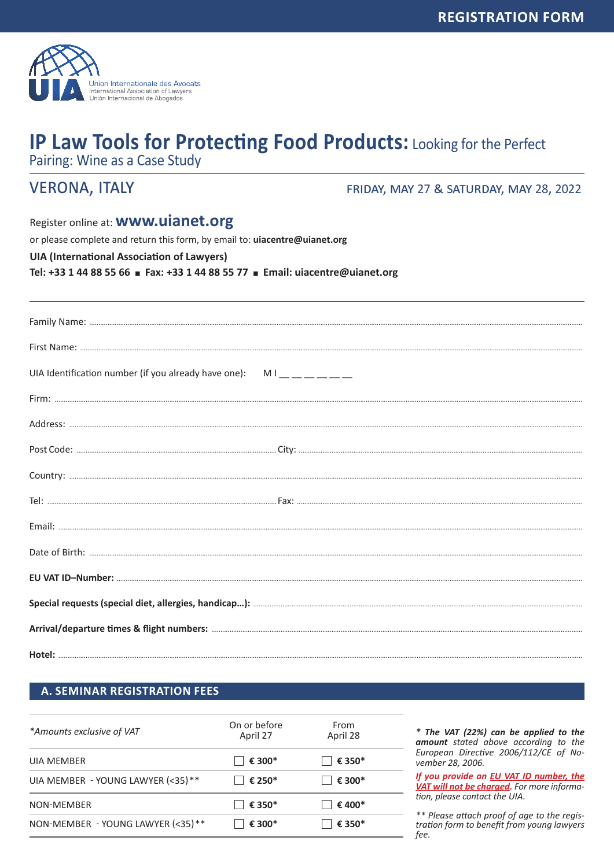

# **IP Law Tools for Protecting Food Products: Looking for the Perfect**

Pairing: Wine as a Case Study

# **VERONA, ITALY**

FRIDAY, MAY 27 & SATURDAY, MAY 28, 2022

Register online at: **WWW.uianet.org** 

or please complete and return this form, by email to: uiacentre@uianet.org

**UIA (International Association of Lawyers)** 

Tel: +33 1 44 88 55 66 = Fax: +33 1 44 88 55 77 = Email: uiacentre@uianet.org

| UIA Identification number (if you already have one): $M_1 = 2$ |  |
|----------------------------------------------------------------|--|
|                                                                |  |
|                                                                |  |
|                                                                |  |
|                                                                |  |
|                                                                |  |
|                                                                |  |
|                                                                |  |
|                                                                |  |
|                                                                |  |
|                                                                |  |
|                                                                |  |
|                                                                |  |

#### **A. SEMINAR REGISTRATION FEES**

| On or before<br>April 27 | From<br>April 28 |
|--------------------------|------------------|
| € 300*                   | € 350*           |
| € 250*                   | € 300*           |
| $\epsilon$ 350*          | € 400*           |
| € 300*                   | € 350*           |
|                          |                  |

\* The VAT (22%) can be applied to the amount stated above according to the European Directive 2006/112/CE of November 28, 2006.

If you provide an EU VAT ID number, the VAT will not be charged. For more information, please contact the UIA.

\*\* Please attach proof of age to the registration form to benefit from young lawyers fee.